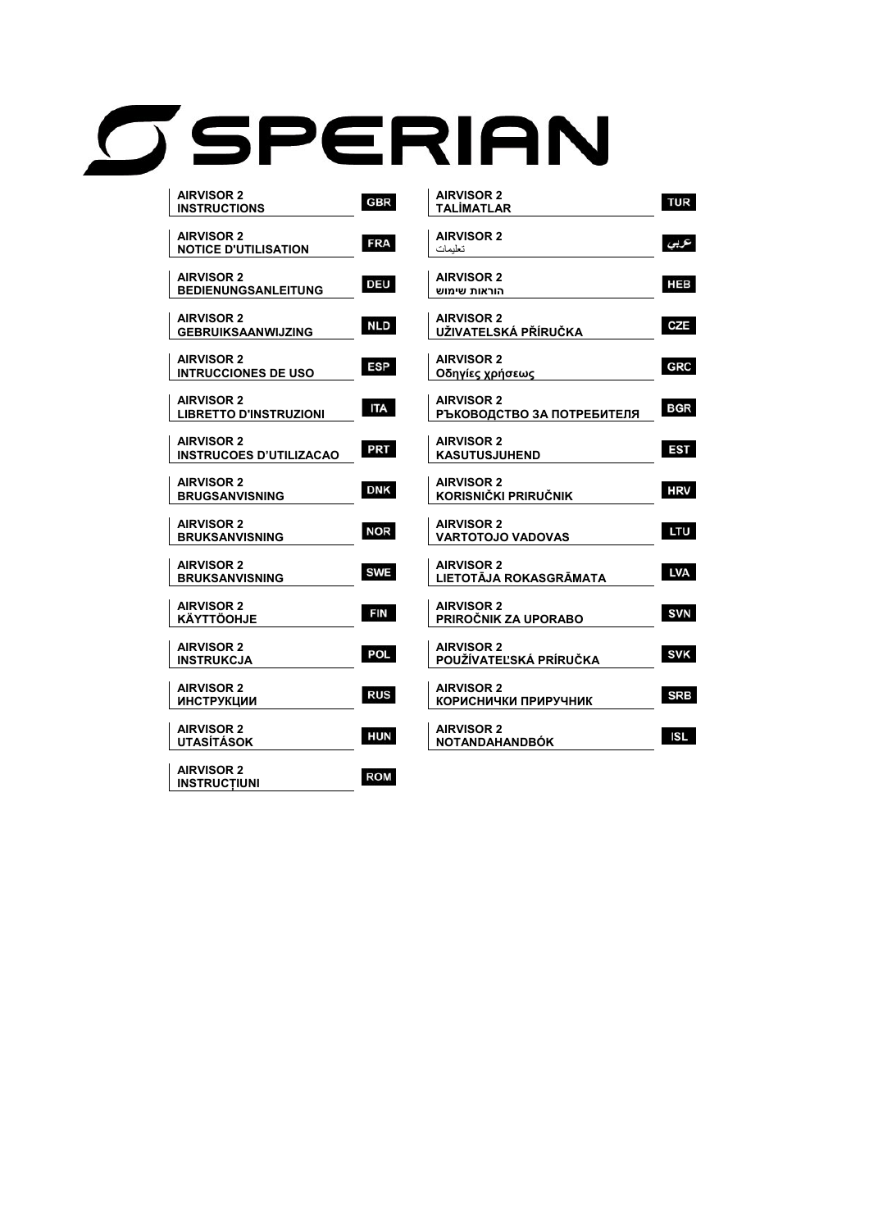# OSPERIAN

| <b>AIRVISOR 2</b><br><b>INSTRUCTIONS</b>           | <b>GBR</b> |
|----------------------------------------------------|------------|
| <b>AIRVISOR 2</b><br><b>NOTICE D'UTILISATION</b>   | <b>FRA</b> |
|                                                    |            |
| <b>AIRVISOR 2</b><br><b>BEDIENUNGSANLEITUNG</b>    | <b>DEU</b> |
| <b>AIRVISOR 2</b>                                  | <b>NLD</b> |
| <b>GEBRUIKSAANWIJZING</b>                          |            |
| <b>AIRVISOR 2</b><br><b>INTRUCCIONES DE USO</b>    | <b>ESP</b> |
|                                                    |            |
| <b>AIRVISOR 2</b><br><b>LIBRETTO D'INSTRUZIONI</b> | <b>ITA</b> |
| <b>AIRVISOR 2</b>                                  | <b>PRT</b> |
| <b>INSTRUCOES D'UTILIZACAO</b>                     |            |
| <b>AIRVISOR 2</b><br><b>BRUGSANVISNING</b>         | <b>DNK</b> |
|                                                    |            |
| <b>AIRVISOR 2</b><br><b>BRUKSANVISNING</b>         | <b>NOR</b> |
| <b>AIRVISOR 2</b>                                  | <b>SWE</b> |
| <b>BRUKSANVISNING</b>                              |            |
| <b>AIRVISOR 2</b><br><b>KÄYTTÖOHJE</b>             | <b>FIN</b> |
|                                                    |            |
| <b>AIRVISOR 2</b><br>INSTRUKCJA                    | <b>POL</b> |
| <b>AIRVISOR 2</b>                                  | <b>RUS</b> |
| <b>ИНСТРУКЦИИ</b>                                  |            |
| <b>AIRVISOR 2</b><br>UTASÍTÁSOK                    | <b>HUN</b> |
|                                                    |            |
| <b>AIRVISOR 2</b><br><b>INSTRUCTIUNI</b>           | <b>ROM</b> |

| <b>AIRVISOR 2</b><br>TALİMATLAR                 | <b>TUR</b> |
|-------------------------------------------------|------------|
| <b>AIRVISOR 2</b><br>تعليمات                    | عربى       |
| <b>AIRVISOR 2</b><br>הוראות שימוש               | <b>HEB</b> |
| <b>AIRVISOR 2</b><br>UŽIVATELSKÁ PŘÍRUČKA       | <b>CZE</b> |
| <b>AIRVISOR 2</b>                               | <b>GRC</b> |
| Οδηγίες χρήσεως<br><b>AIRVISOR 2</b>            | <b>BGR</b> |
| РЪКОВОДСТВО ЗА ПОТРЕБИТЕЛЯ<br><b>AIRVISOR 2</b> | EST        |
| KASUTUSJUHEND<br><b>AIRVISOR 2</b>              | <b>HRV</b> |
| KORISNIČKI PRIRUČNIK<br><b>AIRVISOR 2</b>       |            |
| <b>VARTOTOJO VADOVAS</b><br><b>AIRVISOR 2</b>   | LTU        |
| LIETOTĀJA ROKASGRĀMATA<br><b>AIRVISOR 2</b>     | LVA        |
| PRIROČNIK ZA UPORABO                            | <b>SVN</b> |
| <b>AIRVISOR 2</b><br>POUŽÍVATEĽSKÁ PRÍRUČKA     | <b>SVK</b> |
| <b>AIRVISOR 2</b><br>КОРИСНИЧКИ ПРИРУЧНИК       | <b>SRB</b> |
| <b>AIRVISOR 2</b><br>NOTANDAHANDBÓK             | ISL        |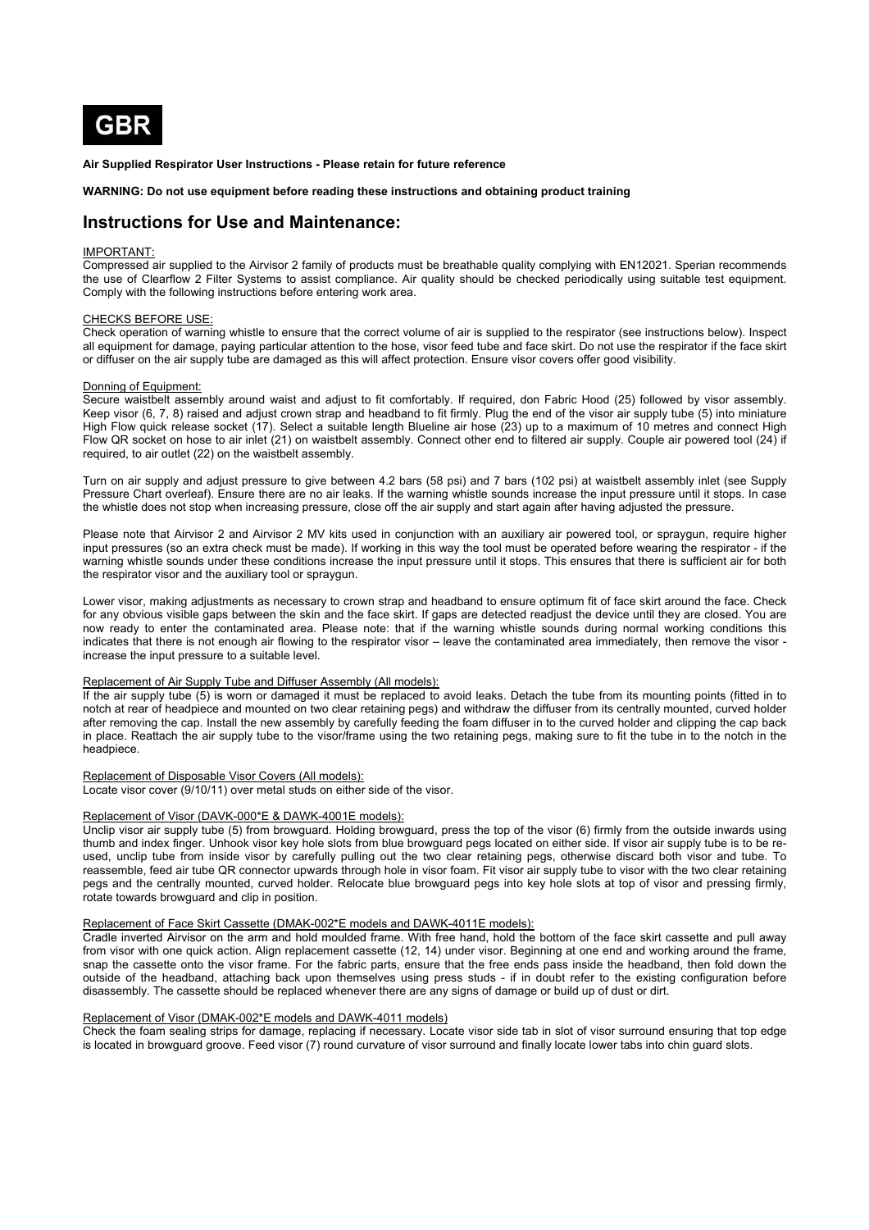

**Air Supplied Respirator User Instructions - Please retain for future reference** 

**WARNING: Do not use equipment before reading these instructions and obtaining product training** 

# **Instructions for Use and Maintenance:**

#### IMPORTANT:

Compressed air supplied to the Airvisor 2 family of products must be breathable quality complying with EN12021. Sperian recommends the use of Clearflow 2 Filter Systems to assist compliance. Air quality should be checked periodically using suitable test equipment. Comply with the following instructions before entering work area.

#### CHECKS BEFORE USE:

Check operation of warning whistle to ensure that the correct volume of air is supplied to the respirator (see instructions below). Inspect all equipment for damage, paying particular attention to the hose, visor feed tube and face skirt. Do not use the respirator if the face skirt or diffuser on the air supply tube are damaged as this will affect protection. Ensure visor covers offer good visibility.

#### Donning of Equipment:

Secure waistbelt assembly around waist and adjust to fit comfortably. If required, don Fabric Hood (25) followed by visor assembly. Keep visor (6, 7, 8) raised and adjust crown strap and headband to fit firmly. Plug the end of the visor air supply tube (5) into miniature High Flow quick release socket (17). Select a suitable length Blueline air hose (23) up to a maximum of 10 metres and connect High Flow QR socket on hose to air inlet (21) on waistbelt assembly. Connect other end to filtered air supply. Couple air powered tool (24) if required, to air outlet (22) on the waistbelt assembly.

Turn on air supply and adjust pressure to give between 4.2 bars (58 psi) and 7 bars (102 psi) at waistbelt assembly inlet (see Supply Pressure Chart overleaf). Ensure there are no air leaks. If the warning whistle sounds increase the input pressure until it stops. In case the whistle does not stop when increasing pressure, close off the air supply and start again after having adjusted the pressure.

Please note that Airvisor 2 and Airvisor 2 MV kits used in conjunction with an auxiliary air powered tool, or spraygun, require higher input pressures (so an extra check must be made). If working in this way the tool must be operated before wearing the respirator - if the warning whistle sounds under these conditions increase the input pressure until it stops. This ensures that there is sufficient air for both the respirator visor and the auxiliary tool or spraygun.

Lower visor, making adjustments as necessary to crown strap and headband to ensure optimum fit of face skirt around the face. Check for any obvious visible gaps between the skin and the face skirt. If gaps are detected readjust the device until they are closed. You are now ready to enter the contaminated area. Please note: that if the warning whistle sounds during normal working conditions this indicates that there is not enough air flowing to the respirator visor – leave the contaminated area immediately, then remove the visor increase the input pressure to a suitable level.

## Replacement of Air Supply Tube and Diffuser Assembly (All models):

If the air supply tube (5) is worn or damaged it must be replaced to avoid leaks. Detach the tube from its mounting points (fitted in to notch at rear of headpiece and mounted on two clear retaining pegs) and withdraw the diffuser from its centrally mounted, curved holder after removing the cap. Install the new assembly by carefully feeding the foam diffuser in to the curved holder and clipping the cap back in place. Reattach the air supply tube to the visor/frame using the two retaining pegs, making sure to fit the tube in to the notch in the headpiece.

## Replacement of Disposable Visor Covers (All models):

Locate visor cover (9/10/11) over metal studs on either side of the visor.

#### Replacement of Visor (DAVK-000\*E & DAWK-4001E models):

Unclip visor air supply tube (5) from browguard. Holding browguard, press the top of the visor (6) firmly from the outside inwards using thumb and index finger. Unhook visor key hole slots from blue browguard pegs located on either side. If visor air supply tube is to be reused, unclip tube from inside visor by carefully pulling out the two clear retaining pegs, otherwise discard both visor and tube. To reassemble, feed air tube QR connector upwards through hole in visor foam. Fit visor air supply tube to visor with the two clear retaining pegs and the centrally mounted, curved holder. Relocate blue browguard pegs into key hole slots at top of visor and pressing firmly, rotate towards browguard and clip in position.

# Replacement of Face Skirt Cassette (DMAK-002\*E models and DAWK-4011E models):

Cradle inverted Airvisor on the arm and hold moulded frame. With free hand, hold the bottom of the face skirt cassette and pull away from visor with one quick action. Align replacement cassette (12, 14) under visor. Beginning at one end and working around the frame, snap the cassette onto the visor frame. For the fabric parts, ensure that the free ends pass inside the headband, then fold down the outside of the headband, attaching back upon themselves using press studs - if in doubt refer to the existing configuration before disassembly. The cassette should be replaced whenever there are any signs of damage or build up of dust or dirt.

# Replacement of Visor (DMAK-002\*E models and DAWK-4011 models)

Check the foam sealing strips for damage, replacing if necessary. Locate visor side tab in slot of visor surround ensuring that top edge is located in browguard groove. Feed visor (7) round curvature of visor surround and finally locate lower tabs into chin guard slots.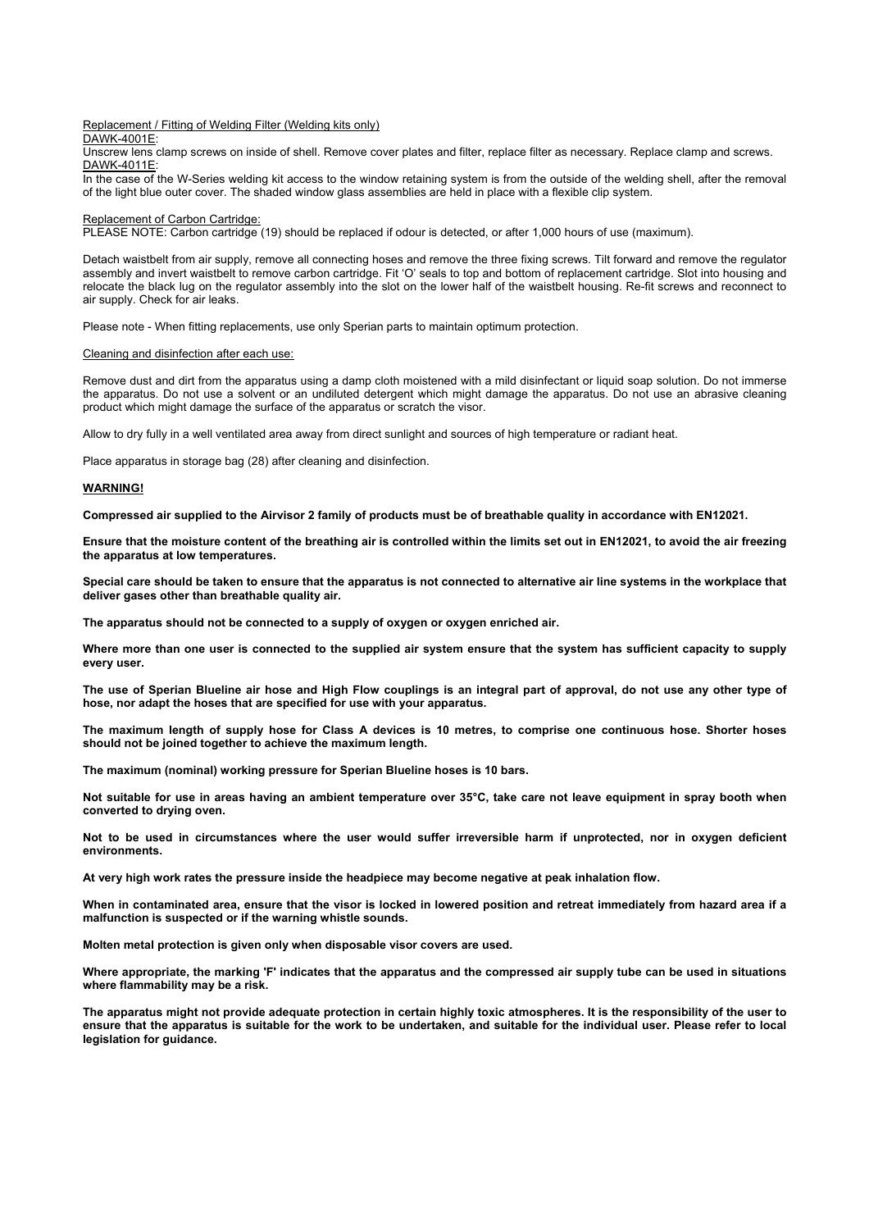#### Replacement / Fitting of Welding Filter (Welding kits only)

DAWK-4001E:

Unscrew lens clamp screws on inside of shell. Remove cover plates and filter, replace filter as necessary. Replace clamp and screws. DAWK-4011E:

In the case of the W-Series welding kit access to the window retaining system is from the outside of the welding shell, after the removal of the light blue outer cover. The shaded window glass assemblies are held in place with a flexible clip system.

#### Replacement of Carbon Cartridge:

PLEASE NOTE: Carbon cartridge (19) should be replaced if odour is detected, or after 1,000 hours of use (maximum).

Detach waistbelt from air supply, remove all connecting hoses and remove the three fixing screws. Tilt forward and remove the regulator assembly and invert waistbelt to remove carbon cartridge. Fit 'O' seals to top and bottom of replacement cartridge. Slot into housing and relocate the black lug on the regulator assembly into the slot on the lower half of the waistbelt housing. Re-fit screws and reconnect to air supply. Check for air leaks.

Please note - When fitting replacements, use only Sperian parts to maintain optimum protection.

Cleaning and disinfection after each use:

Remove dust and dirt from the apparatus using a damp cloth moistened with a mild disinfectant or liquid soap solution. Do not immerse the apparatus. Do not use a solvent or an undiluted detergent which might damage the apparatus. Do not use an abrasive cleaning product which might damage the surface of the apparatus or scratch the visor.

Allow to dry fully in a well ventilated area away from direct sunlight and sources of high temperature or radiant heat.

Place apparatus in storage bag (28) after cleaning and disinfection.

#### **WARNING!**

**Compressed air supplied to the Airvisor 2 family of products must be of breathable quality in accordance with EN12021.** 

**Ensure that the moisture content of the breathing air is controlled within the limits set out in EN12021, to avoid the air freezing the apparatus at low temperatures.** 

**Special care should be taken to ensure that the apparatus is not connected to alternative air line systems in the workplace that deliver gases other than breathable quality air.** 

**The apparatus should not be connected to a supply of oxygen or oxygen enriched air.** 

**Where more than one user is connected to the supplied air system ensure that the system has sufficient capacity to supply every user.** 

**The use of Sperian Blueline air hose and High Flow couplings is an integral part of approval, do not use any other type of hose, nor adapt the hoses that are specified for use with your apparatus.** 

**The maximum length of supply hose for Class A devices is 10 metres, to comprise one continuous hose. Shorter hoses should not be joined together to achieve the maximum length.** 

**The maximum (nominal) working pressure for Sperian Blueline hoses is 10 bars.** 

**Not suitable for use in areas having an ambient temperature over 35°C, take care not leave equipment in spray booth when converted to drying oven.** 

**Not to be used in circumstances where the user would suffer irreversible harm if unprotected, nor in oxygen deficient environments.** 

**At very high work rates the pressure inside the headpiece may become negative at peak inhalation flow.** 

**When in contaminated area, ensure that the visor is locked in lowered position and retreat immediately from hazard area if a malfunction is suspected or if the warning whistle sounds.** 

**Molten metal protection is given only when disposable visor covers are used.** 

**Where appropriate, the marking 'F' indicates that the apparatus and the compressed air supply tube can be used in situations where flammability may be a risk.** 

**The apparatus might not provide adequate protection in certain highly toxic atmospheres. It is the responsibility of the user to ensure that the apparatus is suitable for the work to be undertaken, and suitable for the individual user. Please refer to local legislation for guidance.**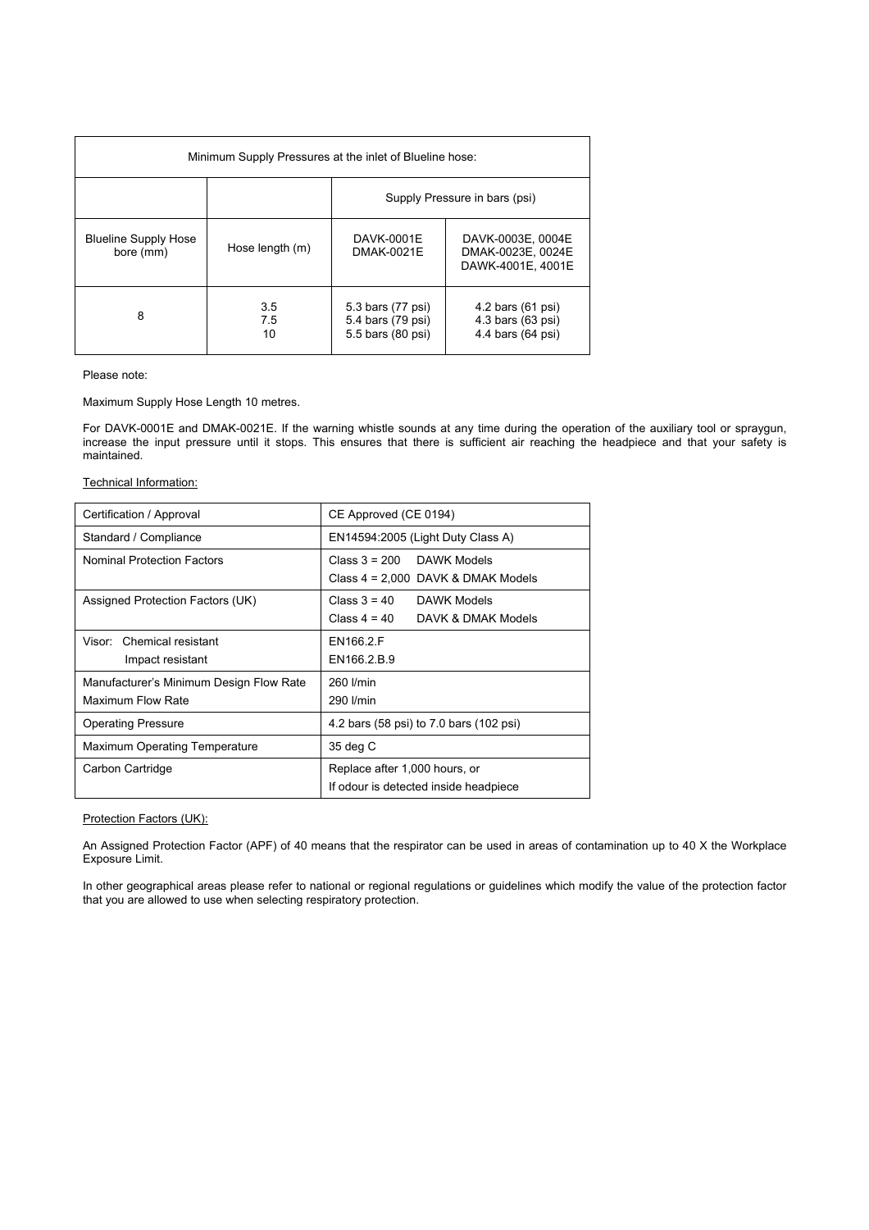| Minimum Supply Pressures at the inlet of Blueline hose: |                  |                                                             |                                                             |
|---------------------------------------------------------|------------------|-------------------------------------------------------------|-------------------------------------------------------------|
|                                                         |                  | Supply Pressure in bars (psi)                               |                                                             |
| <b>Blueline Supply Hose</b><br>bore (mm)                | Hose length (m)  | DAVK-0001E<br>DMAK-0021E                                    | DAVK-0003E, 0004E<br>DMAK-0023E, 0024E<br>DAWK-4001E, 4001E |
| 8                                                       | 3.5<br>7.5<br>10 | 5.3 bars (77 psi)<br>5.4 bars (79 psi)<br>5.5 bars (80 psi) | 4.2 bars (61 psi)<br>4.3 bars (63 psi)<br>4.4 bars (64 psi) |

Please note:

Maximum Supply Hose Length 10 metres.

For DAVK-0001E and DMAK-0021E. If the warning whistle sounds at any time during the operation of the auxiliary tool or spraygun, increase the input pressure until it stops. This ensures that there is sufficient air reaching the headpiece and that your safety is maintained.

Technical Information:

| Certification / Approval                                     | CE Approved (CE 0194)                                                  |  |
|--------------------------------------------------------------|------------------------------------------------------------------------|--|
| Standard / Compliance                                        | EN14594:2005 (Light Duty Class A)                                      |  |
| <b>Nominal Protection Factors</b>                            | Class $3 = 200$ DAWK Models<br>Class $4 = 2,000$ DAVK & DMAK Models    |  |
| Assigned Protection Factors (UK)                             | Class $3 = 40$ DAWK Models<br>Class $4 = 40$ DAVK & DMAK Models        |  |
| Visor: Chemical resistant<br>Impact resistant                | EN166.2.F<br>EN166.2.B.9                                               |  |
| Manufacturer's Minimum Design Flow Rate<br>Maximum Flow Rate | 260 I/min<br>290 I/min                                                 |  |
| <b>Operating Pressure</b>                                    | 4.2 bars (58 psi) to 7.0 bars (102 psi)                                |  |
| Maximum Operating Temperature                                | 35 deg C                                                               |  |
| Carbon Cartridge                                             | Replace after 1,000 hours, or<br>If odour is detected inside headpiece |  |

Protection Factors (UK):

An Assigned Protection Factor (APF) of 40 means that the respirator can be used in areas of contamination up to 40 X the Workplace Exposure Limit.

In other geographical areas please refer to national or regional regulations or guidelines which modify the value of the protection factor that you are allowed to use when selecting respiratory protection.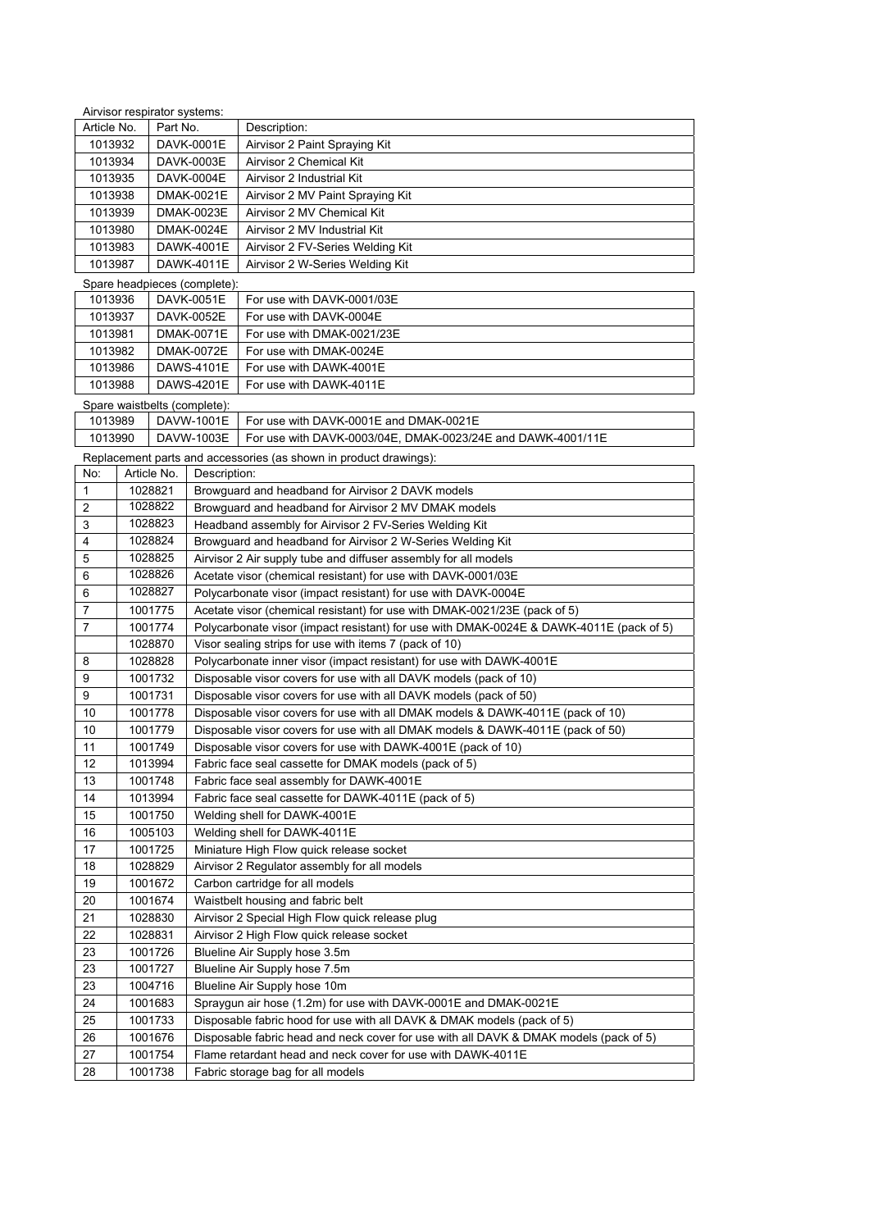|                       |                                                       |                                                                                                  | Airvisor respirator systems:                                              |                                                                                         |
|-----------------------|-------------------------------------------------------|--------------------------------------------------------------------------------------------------|---------------------------------------------------------------------------|-----------------------------------------------------------------------------------------|
| Article No.           |                                                       | Part No.                                                                                         |                                                                           | Description:                                                                            |
| 1013932               |                                                       | DAVK-0001E                                                                                       |                                                                           | Airvisor 2 Paint Spraying Kit                                                           |
| 1013934               |                                                       | DAVK-0003E                                                                                       |                                                                           | Airvisor 2 Chemical Kit                                                                 |
| 1013935               |                                                       | DAVK-0004E                                                                                       |                                                                           | Airvisor 2 Industrial Kit                                                               |
| DMAK-0021E<br>1013938 |                                                       |                                                                                                  | Airvisor 2 MV Paint Spraying Kit                                          |                                                                                         |
| 1013939<br>DMAK-0023E |                                                       |                                                                                                  | Airvisor 2 MV Chemical Kit                                                |                                                                                         |
| 1013980<br>DMAK-0024E |                                                       |                                                                                                  | Airvisor 2 MV Industrial Kit                                              |                                                                                         |
| 1013983               |                                                       |                                                                                                  | DAWK-4001E                                                                | Airvisor 2 FV-Series Welding Kit                                                        |
| 1013987               |                                                       |                                                                                                  | DAWK-4011E                                                                | Airvisor 2 W-Series Welding Kit                                                         |
|                       |                                                       |                                                                                                  |                                                                           |                                                                                         |
|                       | Spare headpieces (complete):<br>1013936<br>DAVK-0051E |                                                                                                  | For use with DAVK-0001/03E                                                |                                                                                         |
|                       | 1013937                                               |                                                                                                  | For use with DAVK-0004E                                                   |                                                                                         |
|                       | DAVK-0052E<br>1013981<br>DMAK-0071E                   |                                                                                                  | For use with DMAK-0021/23E                                                |                                                                                         |
| 1013982               |                                                       |                                                                                                  | DMAK-0072E                                                                | For use with DMAK-0024E                                                                 |
| 1013986               |                                                       |                                                                                                  | DAWS-4101E                                                                | For use with DAWK-4001E                                                                 |
| 1013988               |                                                       |                                                                                                  | DAWS-4201E                                                                | For use with DAWK-4011E                                                                 |
|                       |                                                       |                                                                                                  |                                                                           |                                                                                         |
|                       |                                                       |                                                                                                  | Spare waistbelts (complete):                                              |                                                                                         |
| 1013989               |                                                       |                                                                                                  | DAVW-1001E                                                                | For use with DAVK-0001E and DMAK-0021E                                                  |
| 1013990               |                                                       |                                                                                                  | DAVW-1003E                                                                | For use with DAVK-0003/04E, DMAK-0023/24E and DAWK-4001/11E                             |
|                       |                                                       |                                                                                                  |                                                                           | Replacement parts and accessories (as shown in product drawings):                       |
| No:                   | Article No.                                           |                                                                                                  | Description:                                                              |                                                                                         |
| 1                     | 1028821                                               |                                                                                                  |                                                                           | Browguard and headband for Airvisor 2 DAVK models                                       |
| 2                     | 1028822                                               |                                                                                                  | Browquard and headband for Airvisor 2 MV DMAK models                      |                                                                                         |
| 3                     | 1028823                                               |                                                                                                  | Headband assembly for Airvisor 2 FV-Series Welding Kit                    |                                                                                         |
| 4                     | 1028824                                               |                                                                                                  | Browguard and headband for Airvisor 2 W-Series Welding Kit                |                                                                                         |
| 5                     | 1028825                                               |                                                                                                  | Airvisor 2 Air supply tube and diffuser assembly for all models           |                                                                                         |
| 6                     | 1028826                                               | Acetate visor (chemical resistant) for use with DAVK-0001/03E                                    |                                                                           |                                                                                         |
| 6                     | 1028827                                               |                                                                                                  | Polycarbonate visor (impact resistant) for use with DAVK-0004E            |                                                                                         |
| 7                     | 1001775                                               |                                                                                                  | Acetate visor (chemical resistant) for use with DMAK-0021/23E (pack of 5) |                                                                                         |
| 7                     | 1001774                                               |                                                                                                  |                                                                           | Polycarbonate visor (impact resistant) for use with DMAK-0024E & DAWK-4011E (pack of 5) |
|                       | 1028870                                               |                                                                                                  |                                                                           | Visor sealing strips for use with items 7 (pack of 10)                                  |
| 8                     | 1028828                                               |                                                                                                  |                                                                           | Polycarbonate inner visor (impact resistant) for use with DAWK-4001E                    |
| 9                     | 1001732                                               |                                                                                                  |                                                                           | Disposable visor covers for use with all DAVK models (pack of 10)                       |
| 9                     | 1001731                                               |                                                                                                  |                                                                           | Disposable visor covers for use with all DAVK models (pack of 50)                       |
| 10                    | 1001778                                               | Disposable visor covers for use with all DMAK models & DAWK-4011E (pack of 10)                   |                                                                           |                                                                                         |
| 10                    | 1001779                                               |                                                                                                  |                                                                           | Disposable visor covers for use with all DMAK models & DAWK-4011E (pack of 50)          |
| 11                    | 1001749                                               |                                                                                                  | Disposable visor covers for use with DAWK-4001E (pack of 10)              |                                                                                         |
| 12                    |                                                       |                                                                                                  |                                                                           |                                                                                         |
| 13                    |                                                       | 1013994<br>Fabric face seal cassette for DMAK models (pack of 5)                                 |                                                                           |                                                                                         |
| 14                    |                                                       | 1001748<br>Fabric face seal assembly for DAWK-4001E                                              |                                                                           |                                                                                         |
| 15                    |                                                       | 1013994<br>Fabric face seal cassette for DAWK-4011E (pack of 5)                                  |                                                                           |                                                                                         |
| 16                    |                                                       | 1001750<br>Welding shell for DAWK-4001E<br>1005103                                               |                                                                           |                                                                                         |
| 17                    | 1001725                                               |                                                                                                  | Welding shell for DAWK-4011E                                              |                                                                                         |
| 18                    |                                                       |                                                                                                  | Miniature High Flow quick release socket                                  |                                                                                         |
|                       | 1028829                                               |                                                                                                  | Airvisor 2 Regulator assembly for all models                              |                                                                                         |
| 19                    | 1001672                                               |                                                                                                  | Carbon cartridge for all models                                           |                                                                                         |
| 20                    | 1001674                                               |                                                                                                  | Waistbelt housing and fabric belt                                         |                                                                                         |
| 21                    | 1028830                                               |                                                                                                  | Airvisor 2 Special High Flow quick release plug                           |                                                                                         |
| 22                    | 1028831                                               |                                                                                                  | Airvisor 2 High Flow quick release socket                                 |                                                                                         |
| 23                    |                                                       | 1001726<br>Blueline Air Supply hose 3.5m                                                         |                                                                           |                                                                                         |
| 23                    |                                                       | 1001727<br>Blueline Air Supply hose 7.5m                                                         |                                                                           |                                                                                         |
| 23                    |                                                       | 1004716<br>Blueline Air Supply hose 10m                                                          |                                                                           |                                                                                         |
| 24                    |                                                       | 1001683<br>Spraygun air hose (1.2m) for use with DAVK-0001E and DMAK-0021E                       |                                                                           |                                                                                         |
| 25                    |                                                       | 1001733<br>Disposable fabric hood for use with all DAVK & DMAK models (pack of 5)                |                                                                           |                                                                                         |
| 26                    |                                                       | Disposable fabric head and neck cover for use with all DAVK & DMAK models (pack of 5)<br>1001676 |                                                                           |                                                                                         |
| 27                    | 1001754                                               |                                                                                                  | Flame retardant head and neck cover for use with DAWK-4011E               |                                                                                         |
| 28                    |                                                       | 1001738<br>Fabric storage bag for all models                                                     |                                                                           |                                                                                         |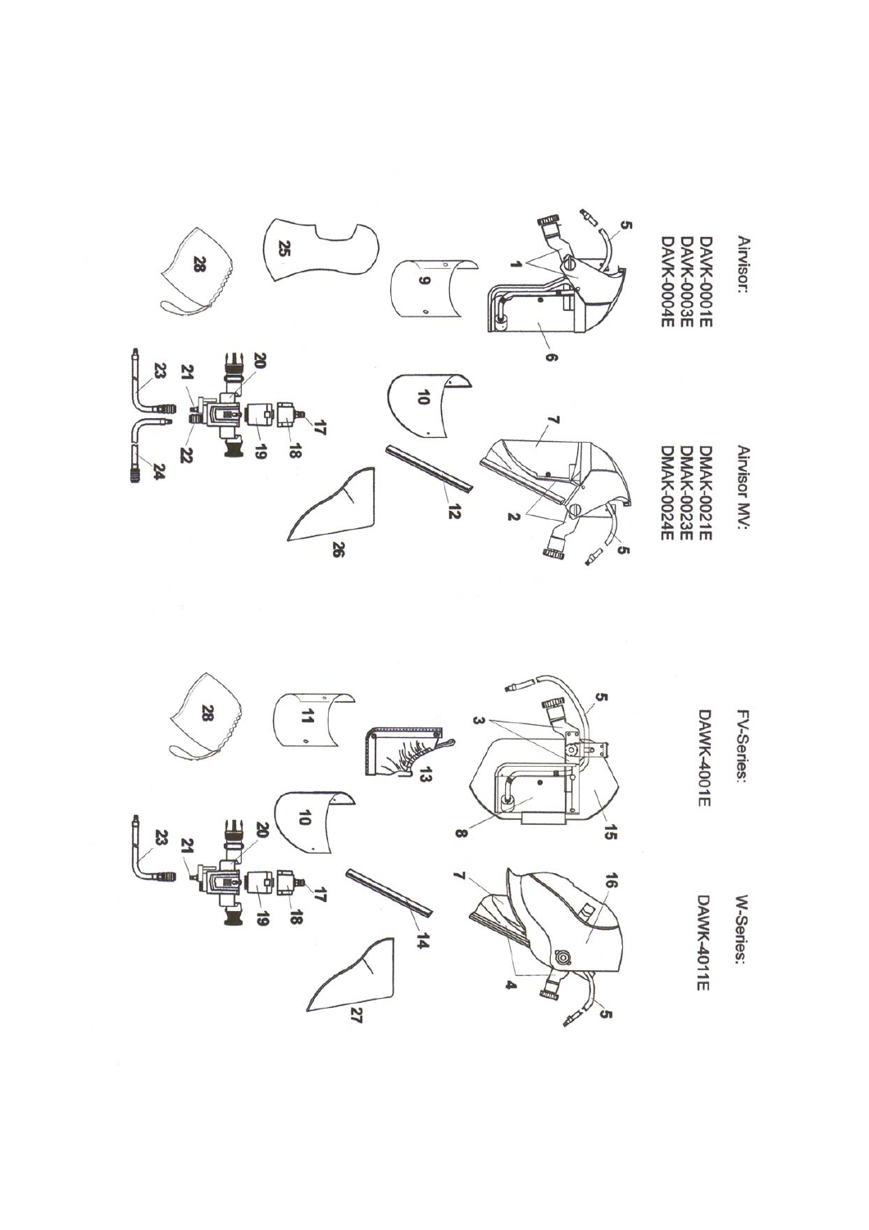

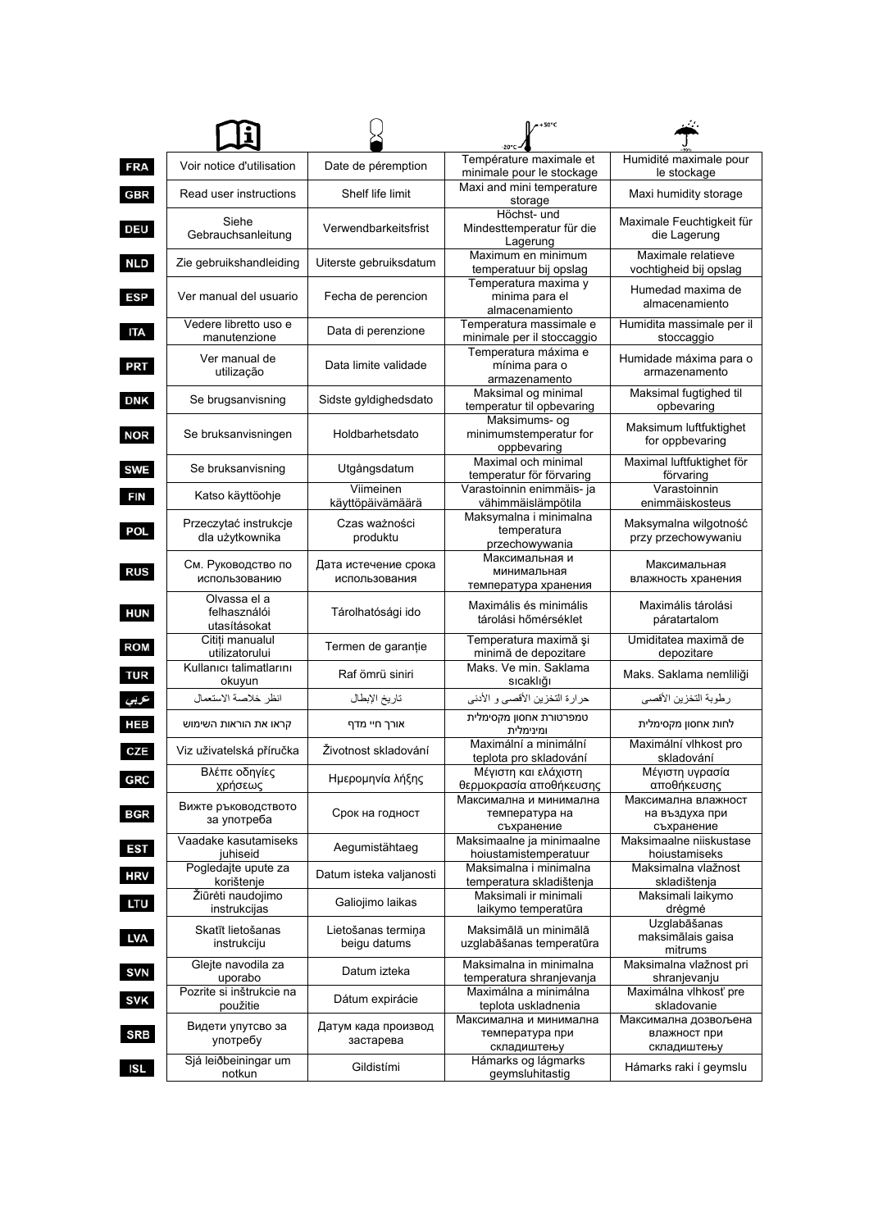|            |                                              |                                       | $-150^{\circ}$ C                                         |                                                     |
|------------|----------------------------------------------|---------------------------------------|----------------------------------------------------------|-----------------------------------------------------|
| <b>FRA</b> | Voir notice d'utilisation                    | Date de péremption                    | Température maximale et<br>minimale pour le stockage     | Humidité maximale pour<br>le stockage               |
| <b>GBR</b> | Read user instructions                       | Shelf life limit                      | Maxi and mini temperature<br>storage                     | Maxi humidity storage                               |
| <b>DEU</b> | Siehe<br>Gebrauchsanleitung                  | Verwendbarkeitsfrist                  | Höchst- und<br>Mindesttemperatur für die<br>Lagerung     | Maximale Feuchtigkeit für<br>die Lagerung           |
| <b>NLD</b> | Zie gebruikshandleiding                      | Uiterste gebruiksdatum                | Maximum en minimum<br>temperatuur bij opslag             | Maximale relatieve<br>vochtigheid bij opslag        |
| <b>ESP</b> | Ver manual del usuario                       | Fecha de perencion                    | Temperatura maxima y<br>minima para el<br>almacenamiento | Humedad maxima de<br>almacenamiento                 |
| <b>ITA</b> | Vedere libretto uso e<br>manutenzione        | Data di perenzione                    | Temperatura massimale e<br>minimale per il stoccaggio    | Humidita massimale per il<br>stoccaggio             |
| <b>PRT</b> | Ver manual de<br>utilização                  | Data limite validade                  | Temperatura máxima e<br>mínima para o<br>armazenamento   | Humidade máxima para o<br>armazenamento             |
| <b>DNK</b> | Se brugsanvisning                            | Sidste gyldighedsdato                 | Maksimal og minimal<br>temperatur til opbevaring         | Maksimal fugtighed til<br>opbevaring                |
| <b>NOR</b> | Se bruksanvisningen                          | Holdbarhetsdato                       | Maksimums- og<br>minimumstemperatur for<br>oppbevaring   | Maksimum luftfuktighet<br>for oppbevaring           |
| <b>SWE</b> | Se bruksanvisning                            | Utgångsdatum                          | Maximal och minimal<br>temperatur för förvaring          | Maximal luftfuktighet för<br>förvaring              |
| <b>FIN</b> | Katso käyttöohje                             | Viimeinen<br>käyttöpäivämäärä         | Varastoinnin enimmäis- ja<br>vähimmäislämpötila          | Varastoinnin<br>enimmäiskosteus                     |
| POL        | Przeczytać instrukcje<br>dla użytkownika     | Czas ważności<br>produktu             | Maksymalna i minimalna<br>temperatura<br>przechowywania  | Maksymalna wilgotność<br>przy przechowywaniu        |
| <b>RUS</b> | См. Руководство по<br>использованию          | Дата истечение срока<br>использования | Максимальная и<br>минимальная<br>температура хранения    | Максимальная<br>влажность хранения                  |
| HUN        | Olvassa el a<br>felhasználói<br>utasításokat | Tárolhatósági ido                     | Maximális és minimális<br>tárolási hőmérséklet           | Maximális tárolási<br>páratartalom                  |
| <b>ROM</b> | Citiți manualul<br>utilizatorului            | Termen de garanție                    | Temperatura maximă și<br>minimă de depozitare            | Umiditatea maximă de<br>depozitare                  |
| <b>TUR</b> | Kullanıcı talimatlarını<br>okuyun            | Raf ömrü siniri                       | Maks. Ve min. Saklama<br>sıcaklığı                       | Maks. Saklama nemliliği                             |
| عربي       | انظر خلاصة الاستعمال                         | تاريخ الإبطال                         | حرارة التخزين الأقصى و الأدنى                            | رطوبة التخزين الأقصى                                |
| <b>HEB</b> | קראו את הוראות השימוש                        | אורך חיי מדף                          | טמפרטורת אחסון מקסימלית<br>ומינימלית                     | לחות אחסון מקסימלית                                 |
| CZE        | Viz uživatelská příručka                     | Životnost skladování                  | Maximální a minimální<br>teplota pro skladování          | Maximální vlhkost pro<br>skladování                 |
| <b>GRC</b> | Βλεπε οοηγιες<br>χρήσεως                     | Ημερομηνία λήξης                      | Μεγιστη και ελαχιστη<br>θερμοκρασία αποθήκευσης          | Μέγιστη υγρασία<br>αποθήκευσης                      |
| <b>BGR</b> | Вижте ръководството<br>за употреба           | Срок на годност                       | Максимална и минимална<br>температура на<br>съхранение   | Максимална влажност<br>на въздуха при<br>съхранение |
| <b>EST</b> | Vaadake kasutamiseks<br>juhiseid             | Aegumistähtaeg                        | Maksimaalne ja minimaalne<br>hoiustamistemperatuur       | Maksimaalne niiskustase<br>hoiustamiseks            |
| <b>HRV</b> | Pogledajte upute za<br>korištenje            | Datum isteka valjanosti               | Maksimalna i minimalna<br>temperatura skladištenja       | Maksimalna vlažnost<br>skladištenja                 |
| <b>LTU</b> | Žiūrėti naudojimo<br>instrukcijas            | Galiojimo laikas                      | Maksimali ir minimali<br>laikymo temperatūra             | Maksimali laikymo<br>drėgmė                         |
| <b>LVA</b> | Skatīt lietošanas<br>instrukciju             | Lietošanas termiņa<br>beigu datums    | Maksimālā un minimālā<br>uzglabāšanas temperatūra        | Uzglabāšanas<br>maksimālais gaisa<br>mitrums        |
| <b>SVN</b> | Glejte navodila za<br>uporabo                | Datum izteka                          | Maksimalna in minimalna<br>temperatura shranjevanja      | Maksimalna vlažnost pri<br>shranjevanju             |
| <b>SVK</b> | Pozrite si inštrukcie na<br>použitie         | Dátum expirácie                       | Maximálna a minimálna<br>teplota uskladnenia             | Maximálna vlhkosť pre<br>skladovanie                |
| <b>SRB</b> | Видети упутсво за<br>употребу                | Датум када производ<br>застарева      | Максимална и минимална<br>температура при<br>складиштењу | Максимална дозвољена<br>влажност при<br>складиштењу |
| <b>ISL</b> | Sjá leiðbeiningar um<br>notkun               | Gildistími                            | Hámarks og lágmarks<br>geymsluhitastig                   | Hámarks raki í geymslu                              |